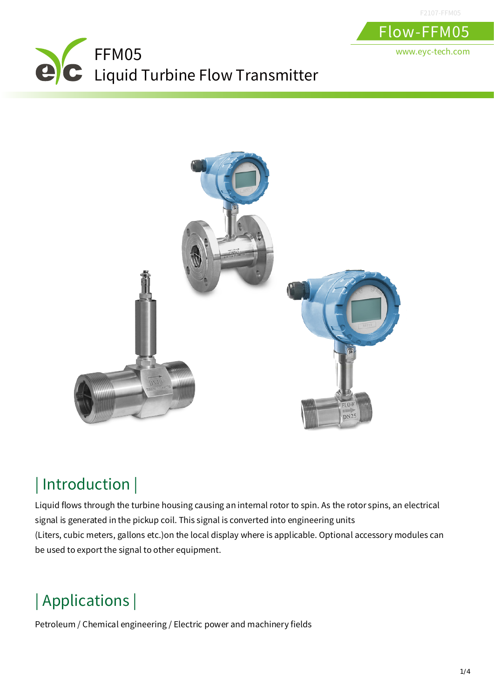



## | Introduction |

Liquid flows through the turbine housing causing an internal rotor to spin. As the rotor spins, an electrical signal is generated in the pickup coil. This signal is converted into engineering units (Liters, cubic meters, gallons etc.)on the local display where is applicable. Optional accessory modules can be used to export the signal to other equipment.

# | Applications |

Petroleum / Chemical engineering / Electric power and machinery fields

F2107-FFM05

Flow-FFM05

www.eyc-tech.com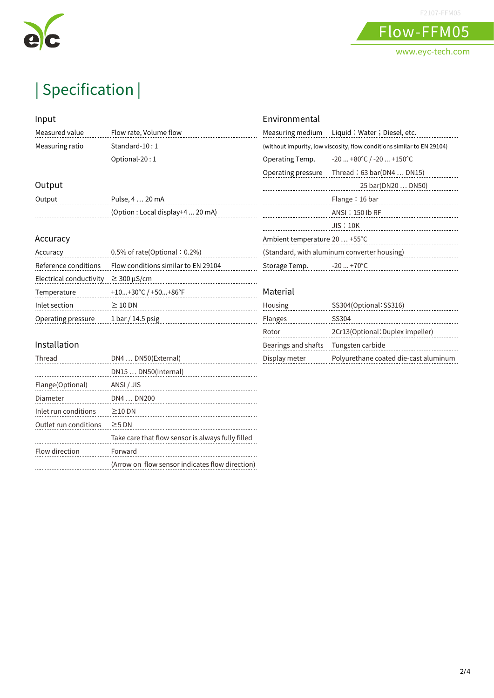



Flow-FFM05 www.eyc-tech.com

# | Specification |

#### Input

| Measured value  | Flow rate, Volume flow |
|-----------------|------------------------|
| Measuring ratio | $Standard-10:1$        |

. . . . . . . . . . . . . . . . . . . .

#### Output

 $\cdots$ 

| Output | Pulse, 4  20 mA                  |
|--------|----------------------------------|
|        | (Option: Local display+4  20 mA) |

Optional-20 : 1

#### Accuracy

| Accuracy                | $0.5\%$ of rate(Optional: 0.2%)     |
|-------------------------|-------------------------------------|
| Reference conditions    | Flow conditions similar to EN 29104 |
| Electrical conductivity | $\geq$ 300 µS/cm                    |
| Temperature             | +10+30°C / +50+86°F                 |
| Inlet section           | $\geq 10$ DN                        |
| Operating pressure      | $1bar/14.5$ psig                    |

#### Installation

| Thread                | DN4  DN50(External)                               |
|-----------------------|---------------------------------------------------|
|                       | DN15  DN50(Internal)                              |
| Flange(Optional)      | ANSI / JIS                                        |
| Diameter              | DN4  DN200                                        |
| Inlet run conditions  | $\geq$ 10 DN                                      |
| Outlet run conditions | $\geq$ 5 DN                                       |
|                       | Take care that flow sensor is always fully filled |
| Flow direction        | Forward                                           |
|                       | (Arrow on flow sensor indicates flow direction)   |

#### Environmental

|                                                                        | Measuring medium Liquid: Water; Diesel, etc. |  |
|------------------------------------------------------------------------|----------------------------------------------|--|
| (without impurity, low viscosity, flow conditions similar to EN 29104) |                                              |  |
| Operating Temp.                                                        | -20  +80°C / -20  +150°C                     |  |
|                                                                        | Operating pressure Thread: 63 bar(DN4  DN15) |  |
|                                                                        | 25 bar(DN20  DN50)                           |  |
|                                                                        | Flange $: 16$ bar                            |  |
|                                                                        | ANSI: 150 lb RF                              |  |
|                                                                        | JIS:10K                                      |  |
| Ambient temperature 20  +55°C                                          |                                              |  |
| (Standard, with aluminum converter housing)                            |                                              |  |
| Storage Temp. -20  +70°C                                               |                                              |  |
|                                                                        |                                              |  |

#### Material

| Housing             | SS304(Optional: SS316)                |
|---------------------|---------------------------------------|
| <b>Flanges</b>      | SS304                                 |
| Rotor               | 2Cr13(Optional: Duplex impeller)      |
| Bearings and shafts | Tungsten carbide                      |
| Display meter       | Polyurethane coated die-cast aluminum |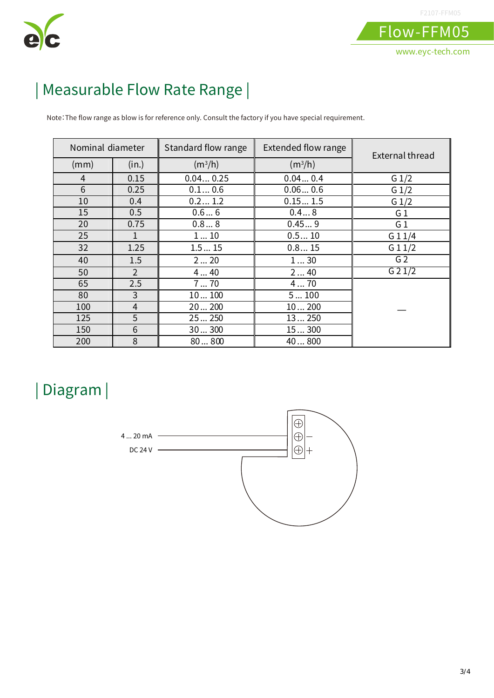

## | Measurable Flow Rate Range |

Note:The flow range as blow is for reference only. Consult the factory if you have special requirement.

| Nominal diameter |                | Standard flow range | <b>Extended flow range</b> | External thread |
|------------------|----------------|---------------------|----------------------------|-----------------|
| (mm)             | (in.)          | $(m^3/h)$           | $(m^3/h)$                  |                 |
| 4                | 0.15           | 0.040.25            | 0.040.4                    | G $1/2$         |
| 6                | 0.25           | 0.10.6              | 0.060.6                    | $G_1/2$         |
| 10               | 0.4            | 0.21.2              | 0.151.5                    | $G_1/2$         |
| 15               | 0.5            | 0.66                | 0.48                       | G <sub>1</sub>  |
| 20               | 0.75           | 0.88                | 0.459                      | G <sub>1</sub>  |
| 25               |                | 110                 | 0.510                      | G11/4           |
| 32               | 1.25           | 1.515               | 0.815                      | G11/2           |
| 40               | 1.5            | 220                 | 130                        | G <sub>2</sub>  |
| 50               | $\overline{2}$ | 440                 | 240                        | G 2 1/2         |
| 65               | 2.5            | 770                 | 470                        |                 |
| 80               | 3              | 10100               | 5100                       |                 |
| 100              | $\overline{4}$ | 20200               | 10200                      |                 |
| 125              | 5              | 25250               | 13250                      |                 |
| 150              | 6              | 30300               | 15300                      |                 |
| 200              | 8              | 80800               | 40800                      |                 |

### | Diagram |